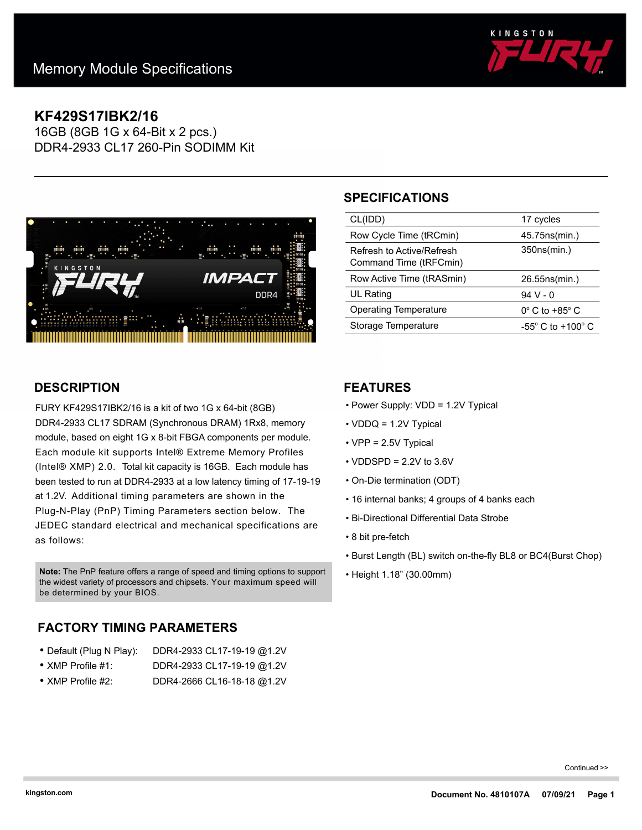

# **KF429S17IBK2/16**

16GB (8GB 1G x 64-Bit x 2 pcs.) DDR4-2933 CL17 260-Pin SODIMM Kit



### **DESCRIPTION**

FURY KF429S17IBK2/16 is a kit of two 1G x 64-bit (8GB) DDR4-2933 CL17 SDRAM (Synchronous DRAM) 1Rx8, memory module, based on eight 1G x 8-bit FBGA components per module. Each module kit supports Intel® Extreme Memory Profiles (Intel® XMP) 2.0. Total kit capacity is 16GB. Each module has been tested to run at DDR4-2933 at a low latency timing of 17-19-19 at 1.2V. Additional timing parameters are shown in the Plug-N-Play (PnP) Timing Parameters section below. The JEDEC standard electrical and mechanical specifications are as follows:

• Height 1.18" (30.00mm) **Note:** The PnP feature offers a range of speed and timing options to support the widest variety of processors and chipsets. Your maximum speed will be determined by your BIOS.

## **FACTORY TIMING PARAMETERS**

| • Default (Plug N Play):  | DDR4-2933 CL17-19-19 @1.2V |
|---------------------------|----------------------------|
| $\bullet$ XMP Profile #1: | DDR4-2933 CL17-19-19 @1.2V |
|                           |                            |

• XMP Profile #2: DDR4-2666 CL16-18-18 @1.2V

# **SPECIFICATIONS**

| CL(IDD)                                             | 17 cycles                           |
|-----------------------------------------------------|-------------------------------------|
| Row Cycle Time (tRCmin)                             | 45.75ns(min.)                       |
| Refresh to Active/Refresh<br>Command Time (tRFCmin) | 350ns(min.)                         |
| Row Active Time (tRASmin)                           | 26.55ns(min.)                       |
| <b>UL Rating</b>                                    | 94 V - 0                            |
| Operating Temperature                               | $0^\circ$ C to +85 $^\circ$ C       |
| Storage Temperature                                 | $-55^{\circ}$ C to $+100^{\circ}$ C |

#### **FEATURES**

- Power Supply: VDD = 1.2V Typical
- VDDQ = 1.2V Typical
- VPP = 2.5V Typical
- $\cdot$  VDDSPD = 2.2V to 3.6V
- On-Die termination (ODT)
- 16 internal banks; 4 groups of 4 banks each
- Bi-Directional Differential Data Strobe
- 8 bit pre-fetch
- Burst Length (BL) switch on-the-fly BL8 or BC4(Burst Chop)
- 

Continued >>